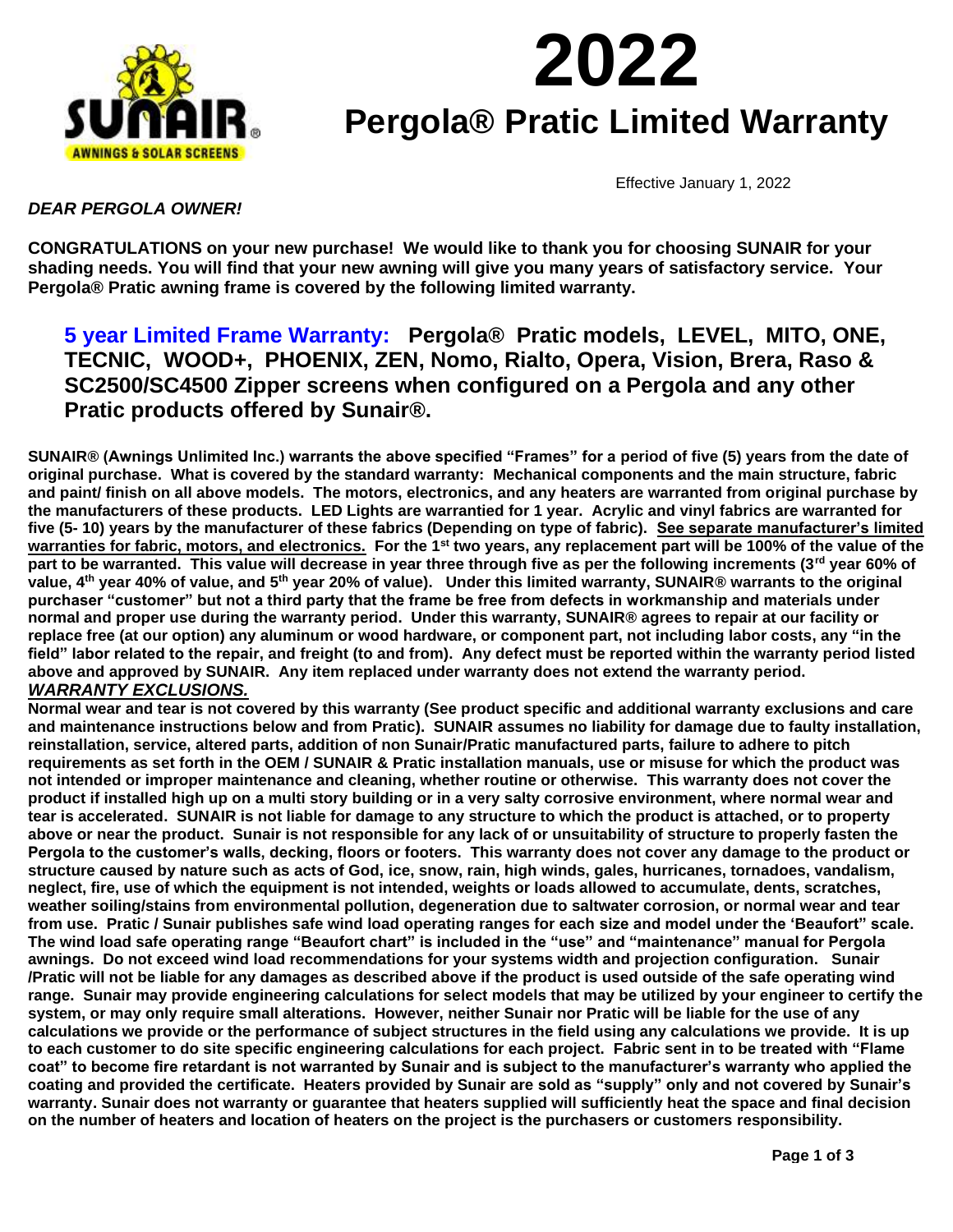

# **2022 Pergola® Pratic Limited Warranty**

Effective January 1, 2022

## *DEAR PERGOLA OWNER!*

**CONGRATULATIONS on your new purchase! We would like to thank you for choosing SUNAIR for your shading needs. You will find that your new awning will give you many years of satisfactory service. Your Pergola® Pratic awning frame is covered by the following limited warranty.**

## **5 year Limited Frame Warranty: Pergola® Pratic models, LEVEL, MITO, ONE, TECNIC, WOOD+, PHOENIX, ZEN, Nomo, Rialto, Opera, Vision, Brera, Raso & SC2500/SC4500 Zipper screens when configured on a Pergola and any other Pratic products offered by Sunair®.**

**SUNAIR® (Awnings Unlimited Inc.) warrants the above specified "Frames" for a period of five (5) years from the date of original purchase. What is covered by the standard warranty: Mechanical components and the main structure, fabric and paint/ finish on all above models. The motors, electronics, and any heaters are warranted from original purchase by the manufacturers of these products. LED Lights are warrantied for 1 year. Acrylic and vinyl fabrics are warranted for five (5- 10) years by the manufacturer of these fabrics (Depending on type of fabric). See separate manufacturer's limited warranties for fabric, motors, and electronics. For the 1st two years, any replacement part will be 100% of the value of the part to be warranted. This value will decrease in year three through five as per the following increments (3rd year 60% of value, 4th year 40% of value, and 5th year 20% of value). Under this limited warranty, SUNAIR® warrants to the original purchaser "customer" but not a third party that the frame be free from defects in workmanship and materials under normal and proper use during the warranty period. Under this warranty, SUNAIR® agrees to repair at our facility or replace free (at our option) any aluminum or wood hardware, or component part, not including labor costs, any "in the field" labor related to the repair, and freight (to and from). Any defect must be reported within the warranty period listed above and approved by SUNAIR. Any item replaced under warranty does not extend the warranty period.**

### *WARRANTY EXCLUSIONS.*

**Normal wear and tear is not covered by this warranty (See product specific and additional warranty exclusions and care and maintenance instructions below and from Pratic). SUNAIR assumes no liability for damage due to faulty installation, reinstallation, service, altered parts, addition of non Sunair/Pratic manufactured parts, failure to adhere to pitch requirements as set forth in the OEM / SUNAIR & Pratic installation manuals, use or misuse for which the product was not intended or improper maintenance and cleaning, whether routine or otherwise. This warranty does not cover the product if installed high up on a multi story building or in a very salty corrosive environment, where normal wear and tear is accelerated. SUNAIR is not liable for damage to any structure to which the product is attached, or to property above or near the product. Sunair is not responsible for any lack of or unsuitability of structure to properly fasten the Pergola to the customer's walls, decking, floors or footers. This warranty does not cover any damage to the product or structure caused by nature such as acts of God, ice, snow, rain, high winds, gales, hurricanes, tornadoes, vandalism, neglect, fire, use of which the equipment is not intended, weights or loads allowed to accumulate, dents, scratches, weather soiling/stains from environmental pollution, degeneration due to saltwater corrosion, or normal wear and tear from use. Pratic / Sunair publishes safe wind load operating ranges for each size and model under the 'Beaufort" scale. The wind load safe operating range "Beaufort chart" is included in the "use" and "maintenance" manual for Pergola awnings. Do not exceed wind load recommendations for your systems width and projection configuration. Sunair /Pratic will not be liable for any damages as described above if the product is used outside of the safe operating wind range. Sunair may provide engineering calculations for select models that may be utilized by your engineer to certify the system, or may only require small alterations. However, neither Sunair nor Pratic will be liable for the use of any calculations we provide or the performance of subject structures in the field using any calculations we provide. It is up to each customer to do site specific engineering calculations for each project. Fabric sent in to be treated with "Flame coat" to become fire retardant is not warranted by Sunair and is subject to the manufacturer's warranty who applied the coating and provided the certificate. Heaters provided by Sunair are sold as "supply" only and not covered by Sunair's warranty. Sunair does not warranty or guarantee that heaters supplied will sufficiently heat the space and final decision on the number of heaters and location of heaters on the project is the purchasers or customers responsibility.**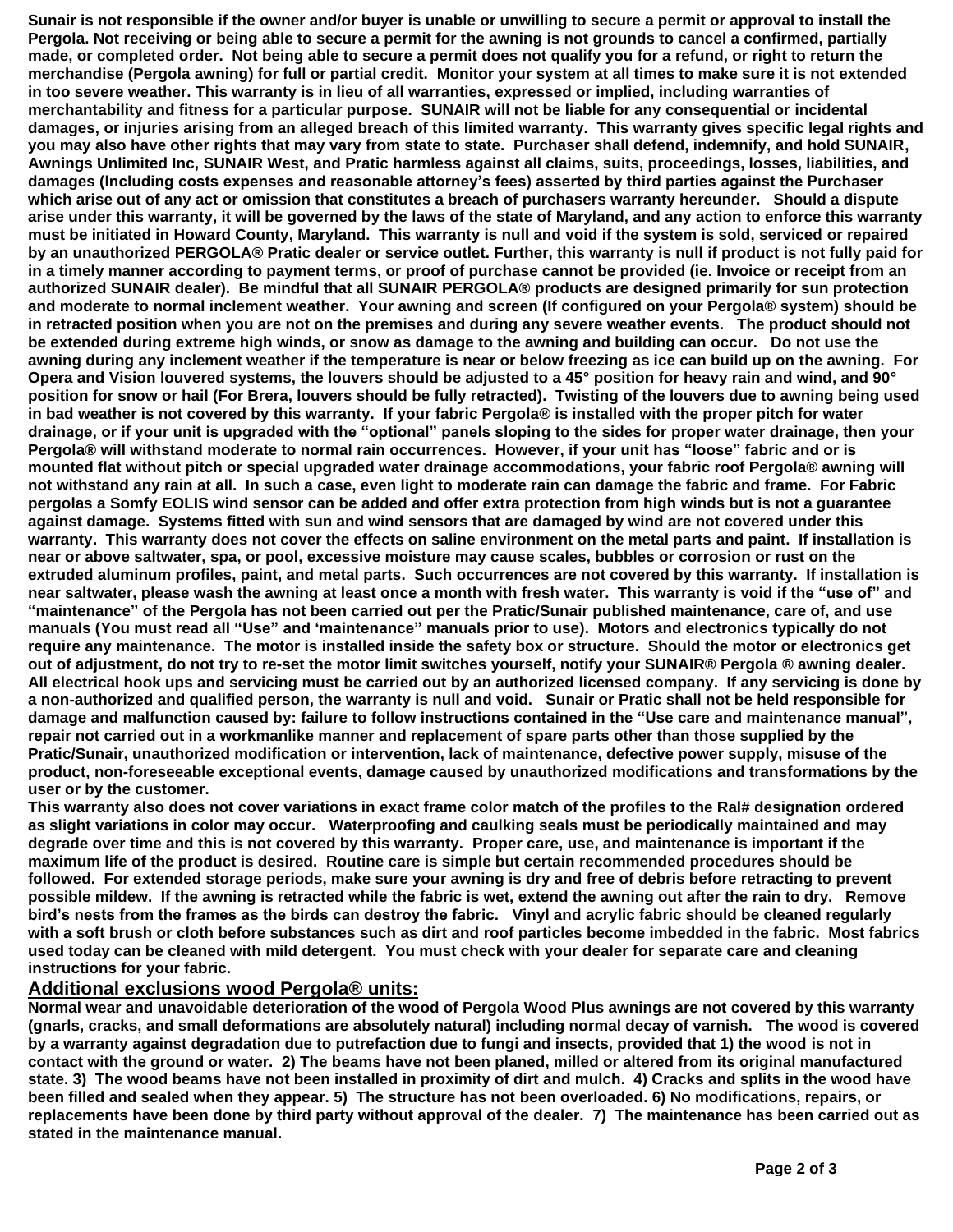**Sunair is not responsible if the owner and/or buyer is unable or unwilling to secure a permit or approval to install the Pergola. Not receiving or being able to secure a permit for the awning is not grounds to cancel a confirmed, partially made, or completed order. Not being able to secure a permit does not qualify you for a refund, or right to return the merchandise (Pergola awning) for full or partial credit. Monitor your system at all times to make sure it is not extended in too severe weather. This warranty is in lieu of all warranties, expressed or implied, including warranties of merchantability and fitness for a particular purpose. SUNAIR will not be liable for any consequential or incidental damages, or injuries arising from an alleged breach of this limited warranty. This warranty gives specific legal rights and you may also have other rights that may vary from state to state. Purchaser shall defend, indemnify, and hold SUNAIR, Awnings Unlimited Inc, SUNAIR West, and Pratic harmless against all claims, suits, proceedings, losses, liabilities, and damages (Including costs expenses and reasonable attorney's fees) asserted by third parties against the Purchaser which arise out of any act or omission that constitutes a breach of purchasers warranty hereunder. Should a dispute arise under this warranty, it will be governed by the laws of the state of Maryland, and any action to enforce this warranty must be initiated in Howard County, Maryland. This warranty is null and void if the system is sold, serviced or repaired by an unauthorized PERGOLA® Pratic dealer or service outlet. Further, this warranty is null if product is not fully paid for in a timely manner according to payment terms, or proof of purchase cannot be provided (ie. Invoice or receipt from an authorized SUNAIR dealer). Be mindful that all SUNAIR PERGOLA® products are designed primarily for sun protection and moderate to normal inclement weather. Your awning and screen (If configured on your Pergola® system) should be in retracted position when you are not on the premises and during any severe weather events. The product should not be extended during extreme high winds, or snow as damage to the awning and building can occur. Do not use the awning during any inclement weather if the temperature is near or below freezing as ice can build up on the awning. For Opera and Vision louvered systems, the louvers should be adjusted to a 45° position for heavy rain and wind, and 90° position for snow or hail (For Brera, louvers should be fully retracted). Twisting of the louvers due to awning being used in bad weather is not covered by this warranty. If your fabric Pergola® is installed with the proper pitch for water drainage, or if your unit is upgraded with the "optional" panels sloping to the sides for proper water drainage, then your Pergola® will withstand moderate to normal rain occurrences. However, if your unit has "loose" fabric and or is mounted flat without pitch or special upgraded water drainage accommodations, your fabric roof Pergola® awning will not withstand any rain at all. In such a case, even light to moderate rain can damage the fabric and frame. For Fabric pergolas a Somfy EOLIS wind sensor can be added and offer extra protection from high winds but is not a guarantee against damage. Systems fitted with sun and wind sensors that are damaged by wind are not covered under this warranty. This warranty does not cover the effects on saline environment on the metal parts and paint. If installation is near or above saltwater, spa, or pool, excessive moisture may cause scales, bubbles or corrosion or rust on the extruded aluminum profiles, paint, and metal parts. Such occurrences are not covered by this warranty. If installation is near saltwater, please wash the awning at least once a month with fresh water. This warranty is void if the "use of" and "maintenance" of the Pergola has not been carried out per the Pratic/Sunair published maintenance, care of, and use manuals (You must read all "Use" and 'maintenance" manuals prior to use). Motors and electronics typically do not require any maintenance. The motor is installed inside the safety box or structure. Should the motor or electronics get out of adjustment, do not try to re-set the motor limit switches yourself, notify your SUNAIR® Pergola ® awning dealer. All electrical hook ups and servicing must be carried out by an authorized licensed company. If any servicing is done by a non-authorized and qualified person, the warranty is null and void. Sunair or Pratic shall not be held responsible for damage and malfunction caused by: failure to follow instructions contained in the "Use care and maintenance manual", repair not carried out in a workmanlike manner and replacement of spare parts other than those supplied by the Pratic/Sunair, unauthorized modification or intervention, lack of maintenance, defective power supply, misuse of the product, non-foreseeable exceptional events, damage caused by unauthorized modifications and transformations by the user or by the customer.**

**This warranty also does not cover variations in exact frame color match of the profiles to the Ral# designation ordered as slight variations in color may occur. Waterproofing and caulking seals must be periodically maintained and may degrade over time and this is not covered by this warranty. Proper care, use, and maintenance is important if the maximum life of the product is desired. Routine care is simple but certain recommended procedures should be followed. For extended storage periods, make sure your awning is dry and free of debris before retracting to prevent possible mildew. If the awning is retracted while the fabric is wet, extend the awning out after the rain to dry. Remove bird's nests from the frames as the birds can destroy the fabric. Vinyl and acrylic fabric should be cleaned regularly with a soft brush or cloth before substances such as dirt and roof particles become imbedded in the fabric. Most fabrics used today can be cleaned with mild detergent. You must check with your dealer for separate care and cleaning instructions for your fabric.** 

#### **Additional exclusions wood Pergola® units:**

**Normal wear and unavoidable deterioration of the wood of Pergola Wood Plus awnings are not covered by this warranty (gnarls, cracks, and small deformations are absolutely natural) including normal decay of varnish. The wood is covered by a warranty against degradation due to putrefaction due to fungi and insects, provided that 1) the wood is not in contact with the ground or water. 2) The beams have not been planed, milled or altered from its original manufactured state. 3) The wood beams have not been installed in proximity of dirt and mulch. 4) Cracks and splits in the wood have been filled and sealed when they appear. 5) The structure has not been overloaded. 6) No modifications, repairs, or replacements have been done by third party without approval of the dealer. 7) The maintenance has been carried out as stated in the maintenance manual.**